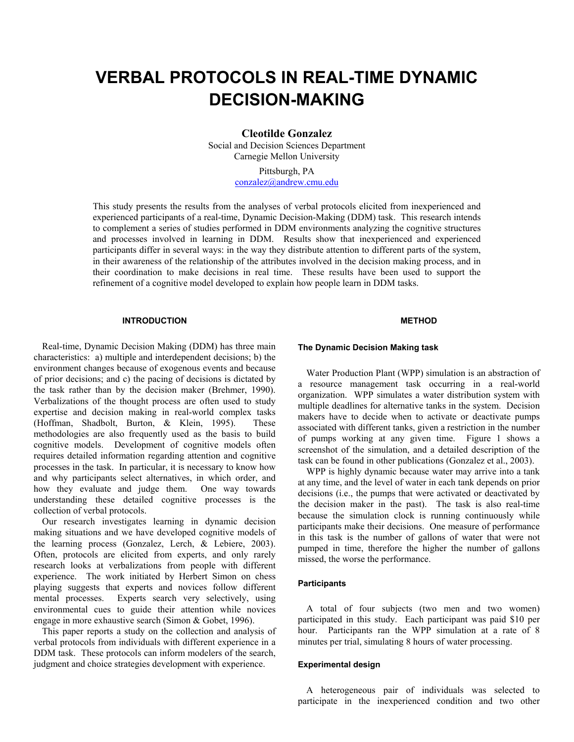# **VERBAL PROTOCOLS IN REAL-TIME DYNAMIC DECISION-MAKING**

**Cleotilde Gonzalez** 

Social and Decision Sciences Department Carnegie Mellon University

> Pittsburgh, PA conzalez@andrew.cmu.edu

This study presents the results from the analyses of verbal protocols elicited from inexperienced and experienced participants of a real-time, Dynamic Decision-Making (DDM) task. This research intends to complement a series of studies performed in DDM environments analyzing the cognitive structures and processes involved in learning in DDM. Results show that inexperienced and experienced participants differ in several ways: in the way they distribute attention to different parts of the system, in their awareness of the relationship of the attributes involved in the decision making process, and in their coordination to make decisions in real time. These results have been used to support the refinement of a cognitive model developed to explain how people learn in DDM tasks.

#### **INTRODUCTION**

Real-time, Dynamic Decision Making (DDM) has three main characteristics: a) multiple and interdependent decisions; b) the environment changes because of exogenous events and because of prior decisions; and c) the pacing of decisions is dictated by the task rather than by the decision maker (Brehmer, 1990). Verbalizations of the thought process are often used to study expertise and decision making in real-world complex tasks (Hoffman, Shadbolt, Burton, & Klein, 1995). These methodologies are also frequently used as the basis to build cognitive models. Development of cognitive models often requires detailed information regarding attention and cognitive processes in the task. In particular, it is necessary to know how and why participants select alternatives, in which order, and how they evaluate and judge them. One way towards understanding these detailed cognitive processes is the collection of verbal protocols.

Our research investigates learning in dynamic decision making situations and we have developed cognitive models of the learning process (Gonzalez, Lerch, & Lebiere, 2003). Often, protocols are elicited from experts, and only rarely research looks at verbalizations from people with different experience. The work initiated by Herbert Simon on chess playing suggests that experts and novices follow different mental processes. Experts search very selectively, using environmental cues to guide their attention while novices engage in more exhaustive search (Simon & Gobet, 1996).

This paper reports a study on the collection and analysis of verbal protocols from individuals with different experience in a DDM task. These protocols can inform modelers of the search, judgment and choice strategies development with experience.

## **METHOD**

#### **The Dynamic Decision Making task**

Water Production Plant (WPP) simulation is an abstraction of a resource management task occurring in a real-world organization. WPP simulates a water distribution system with multiple deadlines for alternative tanks in the system. Decision makers have to decide when to activate or deactivate pumps associated with different tanks, given a restriction in the number of pumps working at any given time. Figure 1 shows a screenshot of the simulation, and a detailed description of the task can be found in other publications (Gonzalez et al., 2003).

WPP is highly dynamic because water may arrive into a tank at any time, and the level of water in each tank depends on prior decisions (i.e., the pumps that were activated or deactivated by the decision maker in the past). The task is also real-time because the simulation clock is running continuously while participants make their decisions. One measure of performance in this task is the number of gallons of water that were not pumped in time, therefore the higher the number of gallons missed, the worse the performance.

## **Participants**

A total of four subjects (two men and two women) participated in this study. Each participant was paid \$10 per hour. Participants ran the WPP simulation at a rate of 8 minutes per trial, simulating 8 hours of water processing.

## **Experimental design**

A heterogeneous pair of individuals was selected to participate in the inexperienced condition and two other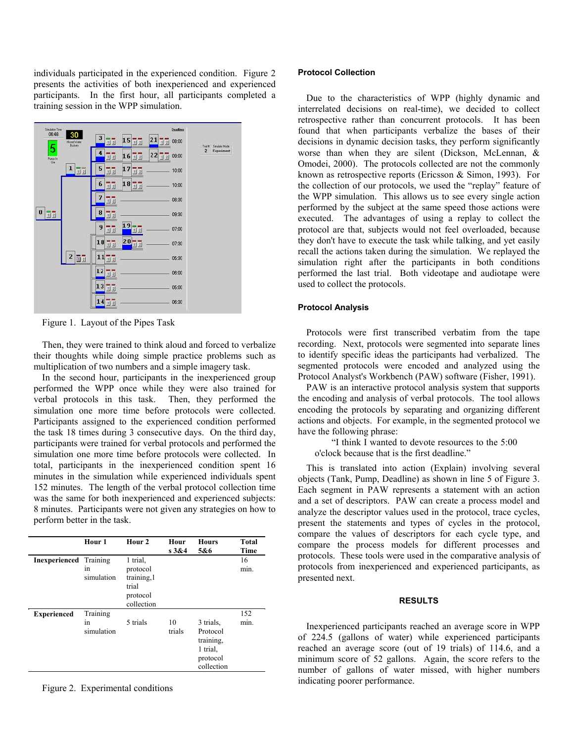individuals participated in the experienced condition. Figure 2 presents the activities of both inexperienced and experienced participants. In the first hour, all participants completed a training session in the WPP simulation.



Figure 1. Layout of the Pipes Task

Then, they were trained to think aloud and forced to verbalize their thoughts while doing simple practice problems such as multiplication of two numbers and a simple imagery task.

In the second hour, participants in the inexperienced group performed the WPP once while they were also trained for verbal protocols in this task. Then, they performed the simulation one more time before protocols were collected. Participants assigned to the experienced condition performed the task 18 times during 3 consecutive days. On the third day, participants were trained for verbal protocols and performed the simulation one more time before protocols were collected. In total, participants in the inexperienced condition spent 16 minutes in the simulation while experienced individuals spent 152 minutes. The length of the verbal protocol collection time was the same for both inexperienced and experienced subjects: 8 minutes. Participants were not given any strategies on how to perform better in the task.

|                    | Hour 1                       | Hour <sub>2</sub>                                                      | Hour<br>s3&4 | <b>Hours</b><br>5&6                                                      | <b>Total</b><br>Time |
|--------------------|------------------------------|------------------------------------------------------------------------|--------------|--------------------------------------------------------------------------|----------------------|
| Inexperienced      | Training<br>1n<br>simulation | 1 trial,<br>protocol<br>training, 1<br>trial<br>protocol<br>collection |              |                                                                          | 16<br>min.           |
| <b>Experienced</b> | Training<br>1n<br>simulation | 5 trials                                                               | 10<br>trials | 3 trials.<br>Protocol<br>training,<br>1 trial,<br>protocol<br>collection | 152<br>min.          |

Figure 2. Experimental conditions

## **Protocol Collection**

Due to the characteristics of WPP (highly dynamic and interrelated decisions on real-time), we decided to collect retrospective rather than concurrent protocols. It has been found that when participants verbalize the bases of their decisions in dynamic decision tasks, they perform significantly worse than when they are silent (Dickson, McLennan, & Omodei, 2000). The protocols collected are not the commonly known as retrospective reports (Ericsson & Simon, 1993). For the collection of our protocols, we used the "replay" feature of the WPP simulation. This allows us to see every single action performed by the subject at the same speed those actions were executed. The advantages of using a replay to collect the protocol are that, subjects would not feel overloaded, because they don't have to execute the task while talking, and yet easily recall the actions taken during the simulation. We replayed the simulation right after the participants in both conditions performed the last trial. Both videotape and audiotape were used to collect the protocols.

## **Protocol Analysis**

Protocols were first transcribed verbatim from the tape recording. Next, protocols were segmented into separate lines to identify specific ideas the participants had verbalized. The segmented protocols were encoded and analyzed using the Protocol Analyst's Workbench (PAW) software (Fisher, 1991).

PAW is an interactive protocol analysis system that supports the encoding and analysis of verbal protocols. The tool allows encoding the protocols by separating and organizing different actions and objects. For example, in the segmented protocol we have the following phrase:

 "I think I wanted to devote resources to the 5:00 o'clock because that is the first deadline."

This is translated into action (Explain) involving several objects (Tank, Pump, Deadline) as shown in line 5 of Figure 3. Each segment in PAW represents a statement with an action and a set of descriptors. PAW can create a process model and analyze the descriptor values used in the protocol, trace cycles, present the statements and types of cycles in the protocol, compare the values of descriptors for each cycle type, and compare the process models for different processes and protocols. These tools were used in the comparative analysis of protocols from inexperienced and experienced participants, as presented next.

### **RESULTS**

Inexperienced participants reached an average score in WPP of 224.5 (gallons of water) while experienced participants reached an average score (out of 19 trials) of 114.6, and a minimum score of 52 gallons. Again, the score refers to the number of gallons of water missed, with higher numbers indicating poorer performance.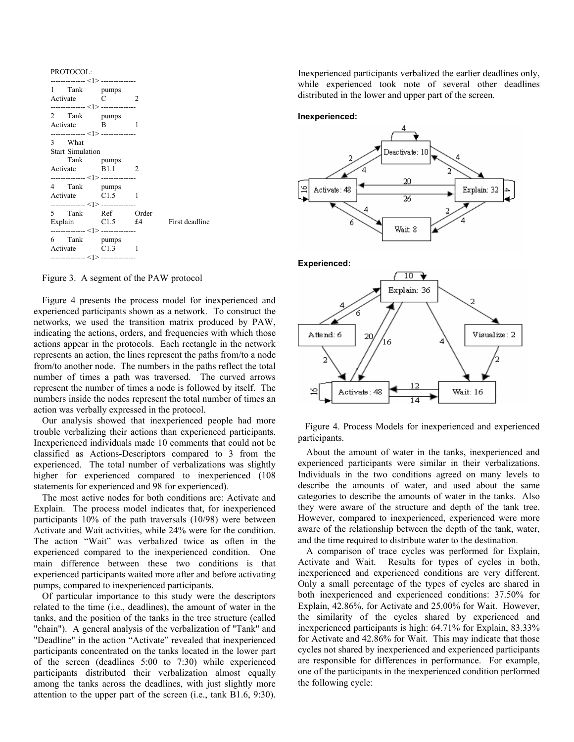| PROTOCOL:                                                                                              |                |  |
|--------------------------------------------------------------------------------------------------------|----------------|--|
| --------------- < > --------------<br>1 Tank pumps<br>Activate C<br>--------------- < > -------------- | $\overline{2}$ |  |
| 2 Tank pumps<br>Activate B<br>--------------- < > --------------                                       | -1             |  |
| 3 What<br><b>Start Simulation</b><br>Tank pumps                                                        |                |  |
| Activate B1.1 2<br>--------------- < > --------------                                                  |                |  |
| 4 Tank pumps<br>Activate C1.5 1<br>--------------- <1> --------------                                  |                |  |
| 5 Tank Ref Order<br>Explain C1.5 £4 First deadline<br>--------------- < > --------------               |                |  |
| 6 Tank pumps<br>Activate C1.3 1<br>--------------- <1> ---------------                                 |                |  |

Figure 3. A segment of the PAW protocol

Figure 4 presents the process model for inexperienced and experienced participants shown as a network. To construct the networks, we used the transition matrix produced by PAW, indicating the actions, orders, and frequencies with which those actions appear in the protocols. Each rectangle in the network represents an action, the lines represent the paths from/to a node from/to another node. The numbers in the paths reflect the total number of times a path was traversed. The curved arrows represent the number of times a node is followed by itself. The numbers inside the nodes represent the total number of times an action was verbally expressed in the protocol.

Our analysis showed that inexperienced people had more trouble verbalizing their actions than experienced participants. Inexperienced individuals made 10 comments that could not be classified as Actions-Descriptors compared to 3 from the experienced. The total number of verbalizations was slightly higher for experienced compared to inexperienced (108 statements for experienced and 98 for experienced).

The most active nodes for both conditions are: Activate and Explain. The process model indicates that, for inexperienced participants 10% of the path traversals (10/98) were between Activate and Wait activities, while 24% were for the condition. The action "Wait" was verbalized twice as often in the experienced compared to the inexperienced condition. One main difference between these two conditions is that experienced participants waited more after and before activating pumps, compared to inexperienced participants.

Of particular importance to this study were the descriptors related to the time (i.e., deadlines), the amount of water in the tanks, and the position of the tanks in the tree structure (called "chain"). A general analysis of the verbalization of "Tank" and "Deadline" in the action "Activate" revealed that inexperienced participants concentrated on the tanks located in the lower part of the screen (deadlines 5:00 to 7:30) while experienced participants distributed their verbalization almost equally among the tanks across the deadlines, with just slightly more attention to the upper part of the screen (i.e., tank B1.6, 9:30).

Inexperienced participants verbalized the earlier deadlines only, while experienced took note of several other deadlines distributed in the lower and upper part of the screen.

#### **Inexperienced:**





 Figure 4. Process Models for inexperienced and experienced participants.

About the amount of water in the tanks, inexperienced and experienced participants were similar in their verbalizations. Individuals in the two conditions agreed on many levels to describe the amounts of water, and used about the same categories to describe the amounts of water in the tanks. Also they were aware of the structure and depth of the tank tree. However, compared to inexperienced, experienced were more aware of the relationship between the depth of the tank, water, and the time required to distribute water to the destination.

A comparison of trace cycles was performed for Explain, Activate and Wait. Results for types of cycles in both, inexperienced and experienced conditions are very different. Only a small percentage of the types of cycles are shared in both inexperienced and experienced conditions: 37.50% for Explain, 42.86%, for Activate and 25.00% for Wait. However, the similarity of the cycles shared by experienced and inexperienced participants is high: 64.71% for Explain, 83.33% for Activate and 42.86% for Wait. This may indicate that those cycles not shared by inexperienced and experienced participants are responsible for differences in performance. For example, one of the participants in the inexperienced condition performed the following cycle: